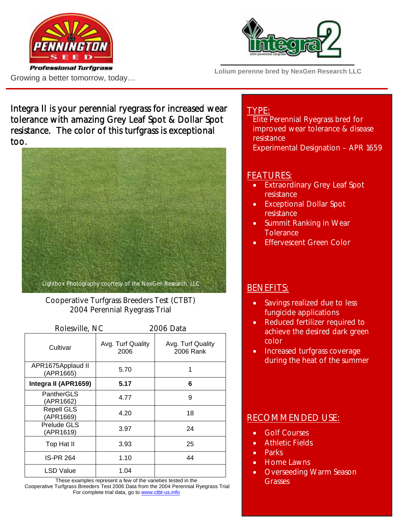



**Lolium perenne bred by NexGen Research LLC** 

Growing a better tomorrow, today…

Integra II is your perennial ryegrass for increased wear tolerance with amazing Grey Leaf Spot & Dollar Spot resistance. The color of this turfgrass is exceptional too.



Cooperative Turfgrass Breeders Test (CTBT) 2004 Perennial Ryegrass Trial

| Rolesville, NC                 |                           | 2006 Data                      |  |
|--------------------------------|---------------------------|--------------------------------|--|
| Cultivar                       | Avg. Turf Quality<br>2006 | Avg. Turf Quality<br>2006 Rank |  |
| APR1675Applaud II<br>(APR1665) | 5.70                      | 1                              |  |
| Integra II (APR1659)           | 5.17                      | 6                              |  |
| PantherGLS<br>(APR1662)        | 4.77                      | 9                              |  |
| <b>Repell GLS</b><br>(APR1669) | 4.20                      | 18                             |  |
| Prelude GLS<br>(APR1619)       | 3.97                      | 24                             |  |
| Top Hat II                     | 3.93                      | 25                             |  |
| <b>IS-PR 264</b>               | 1.10                      | 44                             |  |
| LSD Value                      | 1.04                      |                                |  |

These examples represent a few of the varieties tested in the Cooperative Turfgrass Breeders Test 2006 Data from the 2004 Perennial Ryegrass Trial For complete trial data, go to www.ctbt-us.info

### TYPE:

Elite Perennial Ryegrass bred for improved wear tolerance & disease resistance Experimental Designation – APR 1659

# FEATURES:

- **Extraordinary Grey Leaf Spot** resistance
- Exceptional Dollar Spot resistance
- Summit Ranking in Wear **Tolerance**
- Effervescent Green Color

# BENEFITS:

- Savings realized due to less fungicide applications
- Reduced fertilizer required to achieve the desired dark green color
- Increased turfgrass coverage during the heat of the summer

# RECOMMENDED USE:

- **Golf Courses**
- Athletic Fields
- Parks
- Home Lawns
- Overseeding Warm Season **Grasses**